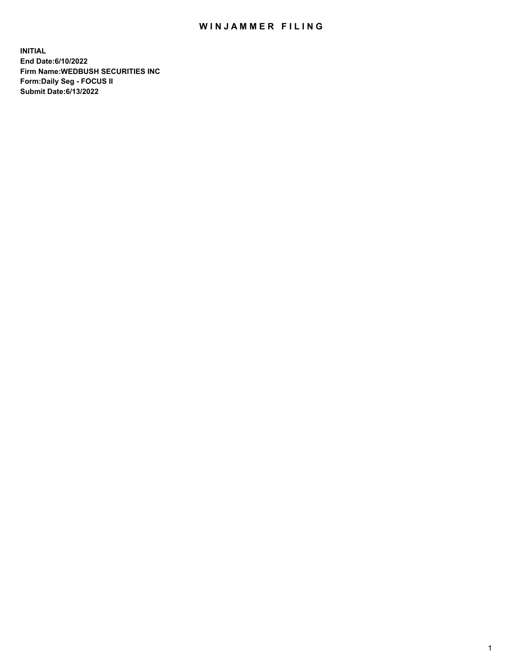## WIN JAMMER FILING

**INITIAL End Date:6/10/2022 Firm Name:WEDBUSH SECURITIES INC Form:Daily Seg - FOCUS II Submit Date:6/13/2022**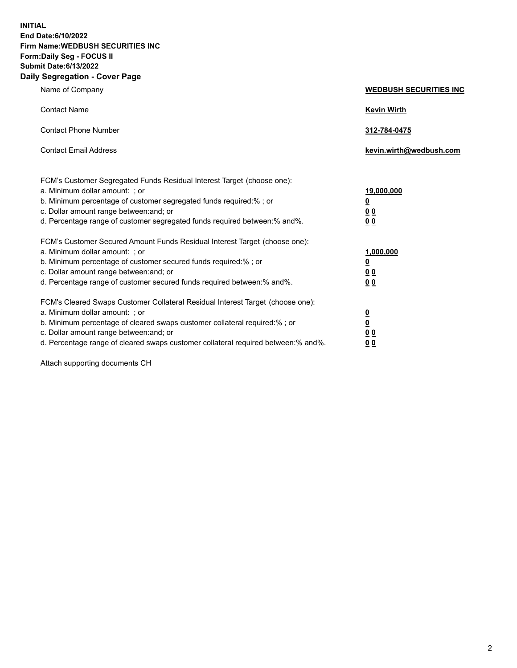**INITIAL End Date:6/10/2022 Firm Name:WEDBUSH SECURITIES INC Form:Daily Seg - FOCUS II Submit Date:6/13/2022 Daily Segregation - Cover Page**

| Name of Company                                                                                                                                                                                                                                                                                       | <b>WEDBUSH SECURITIES INC</b>                                        |
|-------------------------------------------------------------------------------------------------------------------------------------------------------------------------------------------------------------------------------------------------------------------------------------------------------|----------------------------------------------------------------------|
| <b>Contact Name</b>                                                                                                                                                                                                                                                                                   | <b>Kevin Wirth</b>                                                   |
| <b>Contact Phone Number</b>                                                                                                                                                                                                                                                                           | 312-784-0475                                                         |
| <b>Contact Email Address</b>                                                                                                                                                                                                                                                                          | kevin.wirth@wedbush.com                                              |
| FCM's Customer Segregated Funds Residual Interest Target (choose one):<br>a. Minimum dollar amount: ; or<br>b. Minimum percentage of customer segregated funds required:%; or<br>c. Dollar amount range between: and; or<br>d. Percentage range of customer segregated funds required between:% and%. | 19,000,000<br><u>0</u><br><u>00</u><br>0 <sub>0</sub>                |
| FCM's Customer Secured Amount Funds Residual Interest Target (choose one):<br>a. Minimum dollar amount: ; or<br>b. Minimum percentage of customer secured funds required:%; or<br>c. Dollar amount range between: and; or<br>d. Percentage range of customer secured funds required between:% and%.   | 1,000,000<br><u>0</u><br>00<br>0 <sub>0</sub>                        |
| FCM's Cleared Swaps Customer Collateral Residual Interest Target (choose one):<br>a. Minimum dollar amount: ; or<br>b. Minimum percentage of cleared swaps customer collateral required:% ; or<br>c. Dollar amount range between: and; or                                                             | $\overline{\mathbf{0}}$<br>$\overline{\mathbf{0}}$<br>0 <sub>0</sub> |

d. Percentage range of cleared swaps customer collateral required between:% and%. **0 0**

Attach supporting documents CH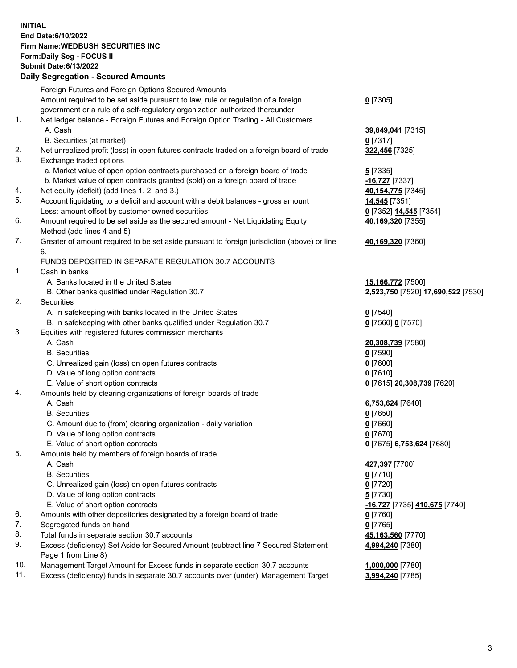**INITIAL End Date:6/10/2022 Firm Name:WEDBUSH SECURITIES INC Form:Daily Seg - FOCUS II Submit Date:6/13/2022 Daily Segregation - Secured Amounts**

|     | 2011, Ocgi ogation - Oceanea Anioanita                                                      |                                              |
|-----|---------------------------------------------------------------------------------------------|----------------------------------------------|
|     | Foreign Futures and Foreign Options Secured Amounts                                         |                                              |
|     | Amount required to be set aside pursuant to law, rule or regulation of a foreign            | $0$ [7305]                                   |
|     | government or a rule of a self-regulatory organization authorized thereunder                |                                              |
| 1.  | Net ledger balance - Foreign Futures and Foreign Option Trading - All Customers             |                                              |
|     | A. Cash                                                                                     | 39,849,041 [7315]                            |
|     | B. Securities (at market)                                                                   | $0$ [7317]                                   |
| 2.  | Net unrealized profit (loss) in open futures contracts traded on a foreign board of trade   | 322,456 [7325]                               |
| 3.  | Exchange traded options                                                                     |                                              |
|     | a. Market value of open option contracts purchased on a foreign board of trade              | 5 [7335]                                     |
|     | b. Market value of open contracts granted (sold) on a foreign board of trade                | <u>-16,727</u> [7337]                        |
| 4.  | Net equity (deficit) (add lines 1. 2. and 3.)                                               | 40,154,775 [7345]                            |
| 5.  | Account liquidating to a deficit and account with a debit balances - gross amount           | 14,545 [7351]                                |
|     | Less: amount offset by customer owned securities                                            | 0 <sup>[7352]</sup> 14,545 <sup>[7354]</sup> |
| 6.  | Amount required to be set aside as the secured amount - Net Liquidating Equity              | 40,169,320 [7355]                            |
|     | Method (add lines 4 and 5)                                                                  |                                              |
| 7.  | Greater of amount required to be set aside pursuant to foreign jurisdiction (above) or line | 40,169,320 [7360]                            |
|     | 6.                                                                                          |                                              |
|     | FUNDS DEPOSITED IN SEPARATE REGULATION 30.7 ACCOUNTS                                        |                                              |
| 1.  | Cash in banks                                                                               |                                              |
|     | A. Banks located in the United States                                                       | 15,166,772 [7500]                            |
|     | B. Other banks qualified under Regulation 30.7                                              | 2,523,750 [7520] 17,690,522 [7530]           |
| 2.  | <b>Securities</b>                                                                           |                                              |
|     | A. In safekeeping with banks located in the United States                                   | $0$ [7540]                                   |
|     | B. In safekeeping with other banks qualified under Regulation 30.7                          | 0 [7560] 0 [7570]                            |
| 3.  | Equities with registered futures commission merchants                                       |                                              |
|     | A. Cash                                                                                     | 20,308,739 [7580]                            |
|     | <b>B.</b> Securities                                                                        | $0$ [7590]                                   |
|     | C. Unrealized gain (loss) on open futures contracts                                         | $0$ [7600]                                   |
|     | D. Value of long option contracts                                                           | $0$ [7610]                                   |
|     | E. Value of short option contracts                                                          | 0 [7615] 20,308,739 [7620]                   |
| 4.  | Amounts held by clearing organizations of foreign boards of trade                           |                                              |
|     | A. Cash                                                                                     | 6,753,624 [7640]                             |
|     | <b>B.</b> Securities                                                                        | $0$ [7650]                                   |
|     | C. Amount due to (from) clearing organization - daily variation                             | $0$ [7660]                                   |
|     | D. Value of long option contracts                                                           | $0$ [7670]                                   |
|     | E. Value of short option contracts                                                          | 0 [7675] 6,753,624 [7680]                    |
| 5.  | Amounts held by members of foreign boards of trade                                          |                                              |
|     | A. Cash                                                                                     | 427,397 [7700]                               |
|     | <b>B.</b> Securities                                                                        | <u>0</u> [7710]                              |
|     | C. Unrealized gain (loss) on open futures contracts                                         | $0$ [7720]                                   |
|     | D. Value of long option contracts                                                           | <u>5</u> [7730]                              |
|     | E. Value of short option contracts                                                          | <u>-16,727</u> [7735] <u>410,675</u> [7740]  |
| 6.  | Amounts with other depositories designated by a foreign board of trade                      | 0 [7760]                                     |
| 7.  | Segregated funds on hand                                                                    | $0$ [7765]                                   |
| 8.  | Total funds in separate section 30.7 accounts                                               | 45,163,560 [7770]                            |
| 9.  | Excess (deficiency) Set Aside for Secured Amount (subtract line 7 Secured Statement         | 4,994,240 [7380]                             |
|     | Page 1 from Line 8)                                                                         |                                              |
| 10. | Management Target Amount for Excess funds in separate section 30.7 accounts                 | 1,000,000 [7780]                             |
| 11. | Excess (deficiency) funds in separate 30.7 accounts over (under) Management Target          | 3,994,240 [7785]                             |
|     |                                                                                             |                                              |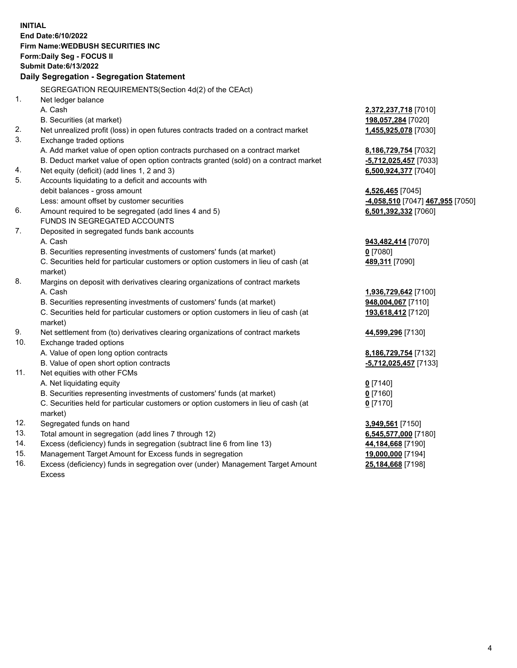|     | <b>INITIAL</b>                                                                                                                                                |                                                                   |
|-----|---------------------------------------------------------------------------------------------------------------------------------------------------------------|-------------------------------------------------------------------|
|     | End Date: 6/10/2022                                                                                                                                           |                                                                   |
|     | <b>Firm Name: WEDBUSH SECURITIES INC</b>                                                                                                                      |                                                                   |
|     | Form: Daily Seg - FOCUS II                                                                                                                                    |                                                                   |
|     | <b>Submit Date:6/13/2022</b>                                                                                                                                  |                                                                   |
|     | Daily Segregation - Segregation Statement                                                                                                                     |                                                                   |
|     | SEGREGATION REQUIREMENTS(Section 4d(2) of the CEAct)                                                                                                          |                                                                   |
| 1.  | Net ledger balance                                                                                                                                            |                                                                   |
|     | A. Cash                                                                                                                                                       | 2,372,237,718 [7010]                                              |
|     | B. Securities (at market)                                                                                                                                     | 198,057,284 [7020]                                                |
| 2.  | Net unrealized profit (loss) in open futures contracts traded on a contract market                                                                            | 1,455,925,078 [7030]                                              |
| 3.  | Exchange traded options                                                                                                                                       |                                                                   |
|     | A. Add market value of open option contracts purchased on a contract market                                                                                   |                                                                   |
|     |                                                                                                                                                               | 8,186,729,754 [7032]                                              |
| 4.  | B. Deduct market value of open option contracts granted (sold) on a contract market                                                                           | -5,712,025,457 [7033]                                             |
| 5.  | Net equity (deficit) (add lines 1, 2 and 3)<br>Accounts liquidating to a deficit and accounts with                                                            | 6,500,924,377 [7040]                                              |
|     | debit balances - gross amount                                                                                                                                 |                                                                   |
|     | Less: amount offset by customer securities                                                                                                                    | 4,526,465 [7045]<br><mark>-4,058,510</mark> [7047] 467,955 [7050] |
| 6.  | Amount required to be segregated (add lines 4 and 5)                                                                                                          | 6,501,392,332 [7060]                                              |
|     | FUNDS IN SEGREGATED ACCOUNTS                                                                                                                                  |                                                                   |
| 7.  |                                                                                                                                                               |                                                                   |
|     | Deposited in segregated funds bank accounts<br>A. Cash                                                                                                        |                                                                   |
|     |                                                                                                                                                               | 943,482,414 [7070]<br>$0$ [7080]                                  |
|     | B. Securities representing investments of customers' funds (at market)<br>C. Securities held for particular customers or option customers in lieu of cash (at |                                                                   |
|     | market)                                                                                                                                                       | 489,311 [7090]                                                    |
| 8.  |                                                                                                                                                               |                                                                   |
|     | Margins on deposit with derivatives clearing organizations of contract markets<br>A. Cash                                                                     |                                                                   |
|     |                                                                                                                                                               | 1,936,729,642 [7100]                                              |
|     | B. Securities representing investments of customers' funds (at market)                                                                                        | 948,004,067 [7110]                                                |
|     | C. Securities held for particular customers or option customers in lieu of cash (at                                                                           | 193,618,412 [7120]                                                |
| 9.  | market)                                                                                                                                                       |                                                                   |
| 10. | Net settlement from (to) derivatives clearing organizations of contract markets                                                                               | 44,599,296 [7130]                                                 |
|     | Exchange traded options                                                                                                                                       |                                                                   |
|     | A. Value of open long option contracts                                                                                                                        | 8,186,729,754 [7132]                                              |
|     | B. Value of open short option contracts                                                                                                                       | -5,712,025,457 [7133]                                             |
| 11. | Net equities with other FCMs                                                                                                                                  |                                                                   |
|     | A. Net liquidating equity                                                                                                                                     | $0$ [7140]                                                        |
|     | B. Securities representing investments of customers' funds (at market)                                                                                        | $0$ [7160]                                                        |
|     | C. Securities held for particular customers or option customers in lieu of cash (at                                                                           | $0$ [7170]                                                        |
|     | market)                                                                                                                                                       |                                                                   |
| 12. | Segregated funds on hand                                                                                                                                      | 3,949,561 [7150]                                                  |
| 13. | Total amount in segregation (add lines 7 through 12)                                                                                                          | 6,545,577,000 [7180]                                              |
| 14. | Excess (deficiency) funds in segregation (subtract line 6 from line 13)                                                                                       | 44,184,668 [7190]                                                 |
| 15. | Management Target Amount for Excess funds in segregation                                                                                                      | 19,000,000 [7194]                                                 |
| 16. | Excess (deficiency) funds in segregation over (under) Management Target Amount                                                                                | 25,184,668 [7198]                                                 |

16. Excess (deficiency) funds in segregation over (under) Management Target Amount Excess